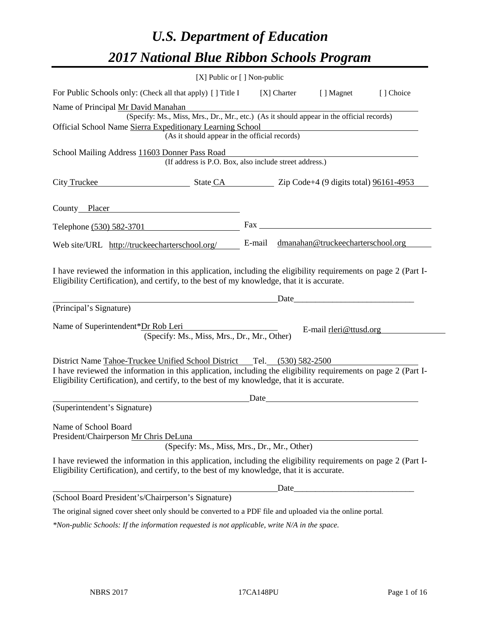# *U.S. Department of Education 2017 National Blue Ribbon Schools Program*

|                                                    | [X] Public or [] Non-public                                                                                                                                                                                                                                                             |      |       |                                                                                                                                                                                                                                |           |
|----------------------------------------------------|-----------------------------------------------------------------------------------------------------------------------------------------------------------------------------------------------------------------------------------------------------------------------------------------|------|-------|--------------------------------------------------------------------------------------------------------------------------------------------------------------------------------------------------------------------------------|-----------|
|                                                    | For Public Schools only: (Check all that apply) [ ] Title I                                                                                                                                                                                                                             |      |       | [X] Charter [] Magnet                                                                                                                                                                                                          | [] Choice |
| Name of Principal Mr David Manahan                 |                                                                                                                                                                                                                                                                                         |      |       |                                                                                                                                                                                                                                |           |
|                                                    | (Specify: Ms., Miss, Mrs., Dr., Mr., etc.) (As it should appear in the official records)                                                                                                                                                                                                |      |       |                                                                                                                                                                                                                                |           |
|                                                    | Official School Name Sierra Expeditionary Learning School<br>(As it should appear in the official records)                                                                                                                                                                              |      |       |                                                                                                                                                                                                                                |           |
|                                                    |                                                                                                                                                                                                                                                                                         |      |       |                                                                                                                                                                                                                                |           |
| School Mailing Address 11603 Donner Pass Road      | (If address is P.O. Box, also include street address.)                                                                                                                                                                                                                                  |      |       |                                                                                                                                                                                                                                |           |
|                                                    |                                                                                                                                                                                                                                                                                         |      |       |                                                                                                                                                                                                                                |           |
| City Truckee                                       | $\frac{\text{State CA}}{\text{Zip Code}+4}$ (9 digits total) $\frac{96161-4953}{20000}$                                                                                                                                                                                                 |      |       |                                                                                                                                                                                                                                |           |
| County Placer                                      |                                                                                                                                                                                                                                                                                         |      |       |                                                                                                                                                                                                                                |           |
| Telephone (530) 582-3701                           |                                                                                                                                                                                                                                                                                         |      |       | Fax and the state of the state of the state of the state of the state of the state of the state of the state of the state of the state of the state of the state of the state of the state of the state of the state of the st |           |
| Web site/URL http://truckeecharterschool.org/      |                                                                                                                                                                                                                                                                                         |      |       | E-mail dmanahan@truckeecharterschool.org                                                                                                                                                                                       |           |
| (Principal's Signature)                            |                                                                                                                                                                                                                                                                                         |      |       | Date and the contract of the contract of the contract of the contract of the contract of the contract of the contract of the contract of the contract of the contract of the contract of the contract of the contract of the c |           |
| Name of Superintendent*Dr Rob Leri                 | (Specify: Ms., Miss, Mrs., Dr., Mr., Other)                                                                                                                                                                                                                                             |      |       | E-mail rleri@ttusd.org                                                                                                                                                                                                         |           |
|                                                    |                                                                                                                                                                                                                                                                                         |      |       |                                                                                                                                                                                                                                |           |
|                                                    | District Name Tahoe-Truckee Unified School District Tel. (530) 582-2500<br>I have reviewed the information in this application, including the eligibility requirements on page 2 (Part I-<br>Eligibility Certification), and certify, to the best of my knowledge, that it is accurate. |      |       |                                                                                                                                                                                                                                |           |
|                                                    |                                                                                                                                                                                                                                                                                         | Date |       |                                                                                                                                                                                                                                |           |
| (Superintendent's Signature)                       |                                                                                                                                                                                                                                                                                         |      |       |                                                                                                                                                                                                                                |           |
| Name of School Board                               |                                                                                                                                                                                                                                                                                         |      |       |                                                                                                                                                                                                                                |           |
| President/Chairperson Mr Chris DeLuna              | (Specify: Ms., Miss, Mrs., Dr., Mr., Other)                                                                                                                                                                                                                                             |      |       |                                                                                                                                                                                                                                |           |
|                                                    | I have reviewed the information in this application, including the eligibility requirements on page 2 (Part I-<br>Eligibility Certification), and certify, to the best of my knowledge, that it is accurate.                                                                            |      |       |                                                                                                                                                                                                                                |           |
|                                                    |                                                                                                                                                                                                                                                                                         |      | Date_ |                                                                                                                                                                                                                                |           |
| (School Board President's/Chairperson's Signature) |                                                                                                                                                                                                                                                                                         |      |       |                                                                                                                                                                                                                                |           |
|                                                    | The original signed cover sheet only should be converted to a PDF file and uploaded via the online portal.                                                                                                                                                                              |      |       |                                                                                                                                                                                                                                |           |
|                                                    | *Non-public Schools: If the information requested is not applicable, write N/A in the space.                                                                                                                                                                                            |      |       |                                                                                                                                                                                                                                |           |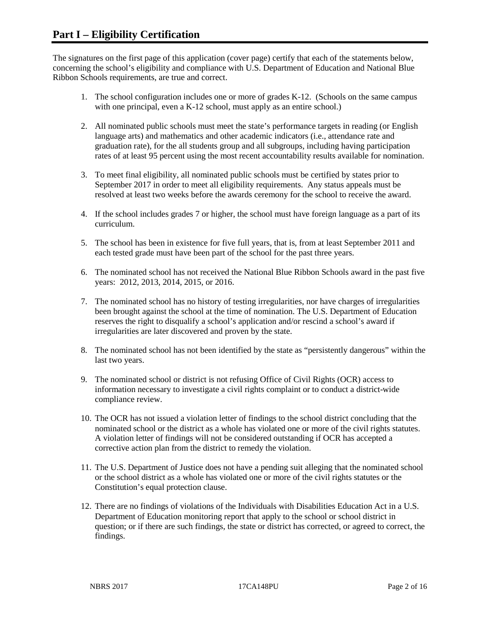The signatures on the first page of this application (cover page) certify that each of the statements below, concerning the school's eligibility and compliance with U.S. Department of Education and National Blue Ribbon Schools requirements, are true and correct.

- 1. The school configuration includes one or more of grades K-12. (Schools on the same campus with one principal, even a K-12 school, must apply as an entire school.)
- 2. All nominated public schools must meet the state's performance targets in reading (or English language arts) and mathematics and other academic indicators (i.e., attendance rate and graduation rate), for the all students group and all subgroups, including having participation rates of at least 95 percent using the most recent accountability results available for nomination.
- 3. To meet final eligibility, all nominated public schools must be certified by states prior to September 2017 in order to meet all eligibility requirements. Any status appeals must be resolved at least two weeks before the awards ceremony for the school to receive the award.
- 4. If the school includes grades 7 or higher, the school must have foreign language as a part of its curriculum.
- 5. The school has been in existence for five full years, that is, from at least September 2011 and each tested grade must have been part of the school for the past three years.
- 6. The nominated school has not received the National Blue Ribbon Schools award in the past five years: 2012, 2013, 2014, 2015, or 2016.
- 7. The nominated school has no history of testing irregularities, nor have charges of irregularities been brought against the school at the time of nomination. The U.S. Department of Education reserves the right to disqualify a school's application and/or rescind a school's award if irregularities are later discovered and proven by the state.
- 8. The nominated school has not been identified by the state as "persistently dangerous" within the last two years.
- 9. The nominated school or district is not refusing Office of Civil Rights (OCR) access to information necessary to investigate a civil rights complaint or to conduct a district-wide compliance review.
- 10. The OCR has not issued a violation letter of findings to the school district concluding that the nominated school or the district as a whole has violated one or more of the civil rights statutes. A violation letter of findings will not be considered outstanding if OCR has accepted a corrective action plan from the district to remedy the violation.
- 11. The U.S. Department of Justice does not have a pending suit alleging that the nominated school or the school district as a whole has violated one or more of the civil rights statutes or the Constitution's equal protection clause.
- 12. There are no findings of violations of the Individuals with Disabilities Education Act in a U.S. Department of Education monitoring report that apply to the school or school district in question; or if there are such findings, the state or district has corrected, or agreed to correct, the findings.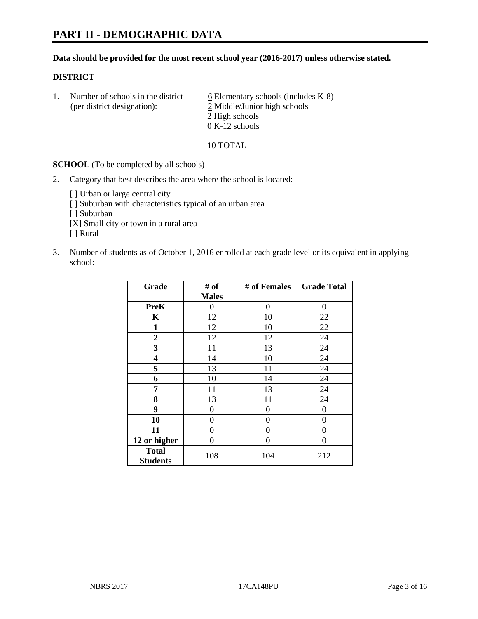#### **Data should be provided for the most recent school year (2016-2017) unless otherwise stated.**

#### **DISTRICT**

1. Number of schools in the district  $6$  Elementary schools (includes K-8) (per district designation): 2 Middle/Junior high schools 2 High schools 0 K-12 schools

10 TOTAL

**SCHOOL** (To be completed by all schools)

- 2. Category that best describes the area where the school is located:
	- [] Urban or large central city [ ] Suburban with characteristics typical of an urban area [ ] Suburban [X] Small city or town in a rural area [ ] Rural
- 3. Number of students as of October 1, 2016 enrolled at each grade level or its equivalent in applying school:

| Grade                           | # of         | # of Females | <b>Grade Total</b> |
|---------------------------------|--------------|--------------|--------------------|
|                                 | <b>Males</b> |              |                    |
| <b>PreK</b>                     | 0            | $\theta$     | 0                  |
| $\mathbf K$                     | 12           | 10           | 22                 |
| $\mathbf{1}$                    | 12           | 10           | 22                 |
| $\overline{2}$                  | 12           | 12           | 24                 |
| 3                               | 11           | 13           | 24                 |
| 4                               | 14           | 10           | 24                 |
| 5                               | 13           | 11           | 24                 |
| 6                               | 10           | 14           | 24                 |
| 7                               | 11           | 13           | 24                 |
| 8                               | 13           | 11           | 24                 |
| 9                               | 0            | $\theta$     | 0                  |
| 10                              | 0            | 0            | 0                  |
| 11                              | 0            | 0            | $\Omega$           |
| 12 or higher                    | 0            | 0            | 0                  |
| <b>Total</b><br><b>Students</b> | 108          | 104          | 212                |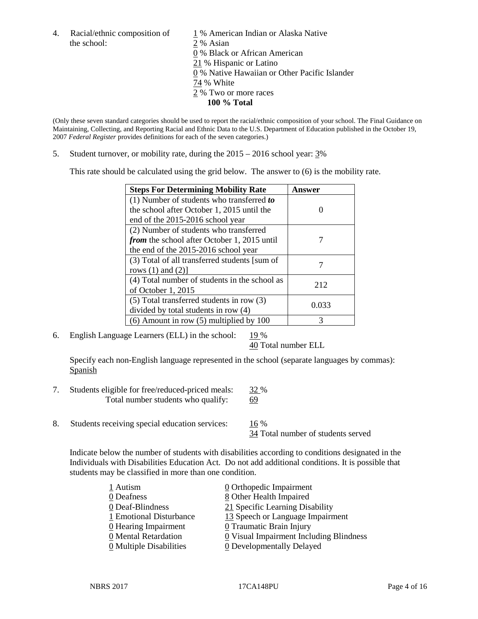the school: 2 % Asian

4. Racial/ethnic composition of  $1\%$  American Indian or Alaska Native 0 % Black or African American 21 % Hispanic or Latino 0 % Native Hawaiian or Other Pacific Islander 74 % White 2 % Two or more races **100 % Total**

(Only these seven standard categories should be used to report the racial/ethnic composition of your school. The Final Guidance on Maintaining, Collecting, and Reporting Racial and Ethnic Data to the U.S. Department of Education published in the October 19, 2007 *Federal Register* provides definitions for each of the seven categories.)

5. Student turnover, or mobility rate, during the 2015 – 2016 school year: 3%

This rate should be calculated using the grid below. The answer to (6) is the mobility rate.

| <b>Steps For Determining Mobility Rate</b>    | Answer |
|-----------------------------------------------|--------|
| $(1)$ Number of students who transferred to   |        |
| the school after October 1, 2015 until the    |        |
| end of the 2015-2016 school year              |        |
| (2) Number of students who transferred        |        |
| from the school after October 1, 2015 until   |        |
| the end of the 2015-2016 school year          |        |
| (3) Total of all transferred students [sum of |        |
| rows $(1)$ and $(2)$ ]                        |        |
| (4) Total number of students in the school as | 212    |
| of October 1, 2015                            |        |
| $(5)$ Total transferred students in row $(3)$ |        |
| divided by total students in row (4)          | 0.033  |
| $(6)$ Amount in row $(5)$ multiplied by 100   | 3      |

6. English Language Learners (ELL) in the school:  $19\%$ 

40 Total number ELL

Specify each non-English language represented in the school (separate languages by commas): **Spanish** 

- 7. Students eligible for free/reduced-priced meals: 32 % Total number students who qualify: 69
- 8. Students receiving special education services: 16 %

34 Total number of students served

Indicate below the number of students with disabilities according to conditions designated in the Individuals with Disabilities Education Act. Do not add additional conditions. It is possible that students may be classified in more than one condition.

| 1 Autism                              | $\underline{0}$ Orthopedic Impairment   |
|---------------------------------------|-----------------------------------------|
| 0 Deafness                            | 8 Other Health Impaired                 |
| 0 Deaf-Blindness                      | 21 Specific Learning Disability         |
| 1 Emotional Disturbance               | 13 Speech or Language Impairment        |
| 0 Hearing Impairment                  | 0 Traumatic Brain Injury                |
| 0 Mental Retardation                  | 0 Visual Impairment Including Blindness |
| $\underline{0}$ Multiple Disabilities | <b>0</b> Developmentally Delayed        |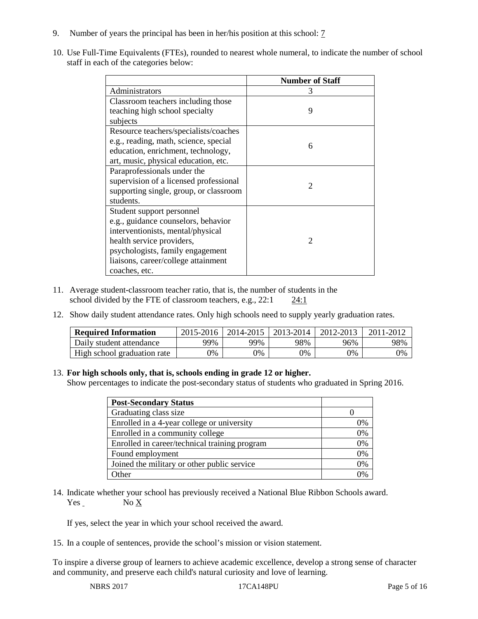- 9. Number of years the principal has been in her/his position at this school: 7
- 10. Use Full-Time Equivalents (FTEs), rounded to nearest whole numeral, to indicate the number of school staff in each of the categories below:

|                                        | <b>Number of Staff</b>      |  |  |
|----------------------------------------|-----------------------------|--|--|
| Administrators                         | 3                           |  |  |
| Classroom teachers including those     |                             |  |  |
| teaching high school specialty         | 9                           |  |  |
| subjects                               |                             |  |  |
| Resource teachers/specialists/coaches  |                             |  |  |
| e.g., reading, math, science, special  | 6                           |  |  |
| education, enrichment, technology,     |                             |  |  |
| art, music, physical education, etc.   |                             |  |  |
| Paraprofessionals under the            |                             |  |  |
| supervision of a licensed professional | $\mathfrak{D}$              |  |  |
| supporting single, group, or classroom |                             |  |  |
| students.                              |                             |  |  |
| Student support personnel              |                             |  |  |
| e.g., guidance counselors, behavior    |                             |  |  |
| interventionists, mental/physical      |                             |  |  |
| health service providers,              | $\mathcal{D}_{\mathcal{L}}$ |  |  |
| psychologists, family engagement       |                             |  |  |
| liaisons, career/college attainment    |                             |  |  |
| coaches, etc.                          |                             |  |  |

- 11. Average student-classroom teacher ratio, that is, the number of students in the school divided by the FTE of classroom teachers, e.g., 22:1 24:1
- 12. Show daily student attendance rates. Only high schools need to supply yearly graduation rates.

| <b>Required Information</b> | 2015-2016 | 2014-2015 | 2013-2014 | 2012-2013 |     |
|-----------------------------|-----------|-----------|-----------|-----------|-----|
| Daily student attendance    | 99%       | 99%       | 98%       | 96%       | 98% |
| High school graduation rate | 0%        | 0%        | 0%        | 9%        | 0%  |

#### 13. **For high schools only, that is, schools ending in grade 12 or higher.**

Show percentages to indicate the post-secondary status of students who graduated in Spring 2016.

| <b>Post-Secondary Status</b>                  |    |
|-----------------------------------------------|----|
| Graduating class size                         |    |
| Enrolled in a 4-year college or university    | 0% |
| Enrolled in a community college               | 0% |
| Enrolled in career/technical training program | 0% |
| Found employment                              | 0% |
| Joined the military or other public service   | 0% |
| .)ther                                        |    |

14. Indicate whether your school has previously received a National Blue Ribbon Schools award. Yes No X

If yes, select the year in which your school received the award.

15. In a couple of sentences, provide the school's mission or vision statement.

To inspire a diverse group of learners to achieve academic excellence, develop a strong sense of character and community, and preserve each child's natural curiosity and love of learning.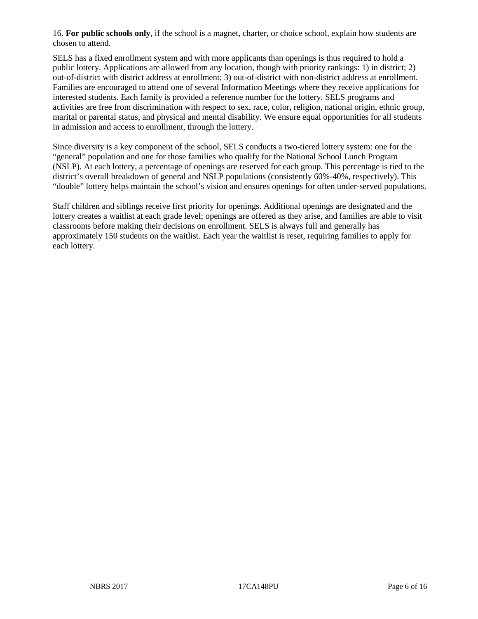16. **For public schools only**, if the school is a magnet, charter, or choice school, explain how students are chosen to attend.

SELS has a fixed enrollment system and with more applicants than openings is thus required to hold a public lottery. Applications are allowed from any location, though with priority rankings: 1) in district; 2) out-of-district with district address at enrollment; 3) out-of-district with non-district address at enrollment. Families are encouraged to attend one of several Information Meetings where they receive applications for interested students. Each family is provided a reference number for the lottery. SELS programs and activities are free from discrimination with respect to sex, race, color, religion, national origin, ethnic group, marital or parental status, and physical and mental disability. We ensure equal opportunities for all students in admission and access to enrollment, through the lottery.

Since diversity is a key component of the school, SELS conducts a two-tiered lottery system: one for the "general" population and one for those families who qualify for the National School Lunch Program (NSLP). At each lottery, a percentage of openings are reserved for each group. This percentage is tied to the district's overall breakdown of general and NSLP populations (consistently 60%-40%, respectively). This "double" lottery helps maintain the school's vision and ensures openings for often under-served populations.

Staff children and siblings receive first priority for openings. Additional openings are designated and the lottery creates a waitlist at each grade level; openings are offered as they arise, and families are able to visit classrooms before making their decisions on enrollment. SELS is always full and generally has approximately 150 students on the waitlist. Each year the waitlist is reset, requiring families to apply for each lottery.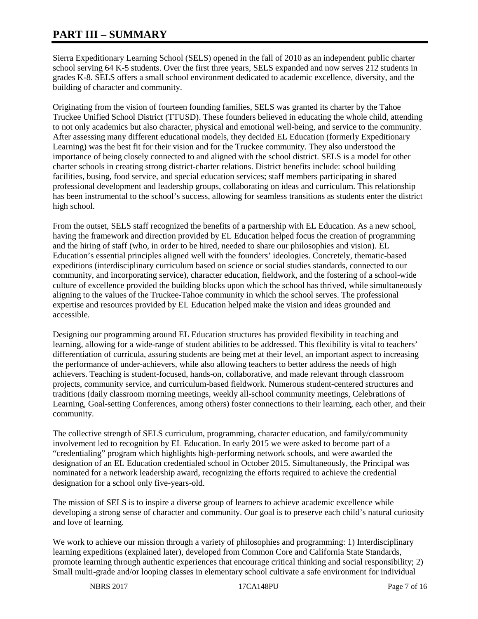# **PART III – SUMMARY**

Sierra Expeditionary Learning School (SELS) opened in the fall of 2010 as an independent public charter school serving 64 K-5 students. Over the first three years, SELS expanded and now serves 212 students in grades K-8. SELS offers a small school environment dedicated to academic excellence, diversity, and the building of character and community.

Originating from the vision of fourteen founding families, SELS was granted its charter by the Tahoe Truckee Unified School District (TTUSD). These founders believed in educating the whole child, attending to not only academics but also character, physical and emotional well-being, and service to the community. After assessing many different educational models, they decided EL Education (formerly Expeditionary Learning) was the best fit for their vision and for the Truckee community. They also understood the importance of being closely connected to and aligned with the school district. SELS is a model for other charter schools in creating strong district-charter relations. District benefits include: school building facilities, busing, food service, and special education services; staff members participating in shared professional development and leadership groups, collaborating on ideas and curriculum. This relationship has been instrumental to the school's success, allowing for seamless transitions as students enter the district high school.

From the outset, SELS staff recognized the benefits of a partnership with EL Education. As a new school, having the framework and direction provided by EL Education helped focus the creation of programming and the hiring of staff (who, in order to be hired, needed to share our philosophies and vision). EL Education's essential principles aligned well with the founders' ideologies. Concretely, thematic-based expeditions (interdisciplinary curriculum based on science or social studies standards, connected to our community, and incorporating service), character education, fieldwork, and the fostering of a school-wide culture of excellence provided the building blocks upon which the school has thrived, while simultaneously aligning to the values of the Truckee-Tahoe community in which the school serves. The professional expertise and resources provided by EL Education helped make the vision and ideas grounded and accessible.

Designing our programming around EL Education structures has provided flexibility in teaching and learning, allowing for a wide-range of student abilities to be addressed. This flexibility is vital to teachers' differentiation of curricula, assuring students are being met at their level, an important aspect to increasing the performance of under-achievers, while also allowing teachers to better address the needs of high achievers. Teaching is student-focused, hands-on, collaborative, and made relevant through classroom projects, community service, and curriculum-based fieldwork. Numerous student-centered structures and traditions (daily classroom morning meetings, weekly all-school community meetings, Celebrations of Learning, Goal-setting Conferences, among others) foster connections to their learning, each other, and their community.

The collective strength of SELS curriculum, programming, character education, and family/community involvement led to recognition by EL Education. In early 2015 we were asked to become part of a "credentialing" program which highlights high-performing network schools, and were awarded the designation of an EL Education credentialed school in October 2015. Simultaneously, the Principal was nominated for a network leadership award, recognizing the efforts required to achieve the credential designation for a school only five-years-old.

The mission of SELS is to inspire a diverse group of learners to achieve academic excellence while developing a strong sense of character and community. Our goal is to preserve each child's natural curiosity and love of learning.

We work to achieve our mission through a variety of philosophies and programming: 1) Interdisciplinary learning expeditions (explained later), developed from Common Core and California State Standards, promote learning through authentic experiences that encourage critical thinking and social responsibility; 2) Small multi-grade and/or looping classes in elementary school cultivate a safe environment for individual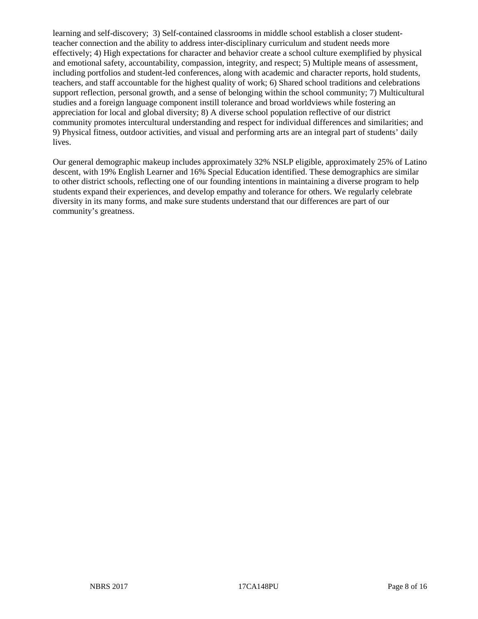learning and self-discovery; 3) Self-contained classrooms in middle school establish a closer studentteacher connection and the ability to address inter-disciplinary curriculum and student needs more effectively; 4) High expectations for character and behavior create a school culture exemplified by physical and emotional safety, accountability, compassion, integrity, and respect; 5) Multiple means of assessment, including portfolios and student-led conferences, along with academic and character reports, hold students, teachers, and staff accountable for the highest quality of work; 6) Shared school traditions and celebrations support reflection, personal growth, and a sense of belonging within the school community; 7) Multicultural studies and a foreign language component instill tolerance and broad worldviews while fostering an appreciation for local and global diversity; 8) A diverse school population reflective of our district community promotes intercultural understanding and respect for individual differences and similarities; and 9) Physical fitness, outdoor activities, and visual and performing arts are an integral part of students' daily lives.

Our general demographic makeup includes approximately 32% NSLP eligible, approximately 25% of Latino descent, with 19% English Learner and 16% Special Education identified. These demographics are similar to other district schools, reflecting one of our founding intentions in maintaining a diverse program to help students expand their experiences, and develop empathy and tolerance for others. We regularly celebrate diversity in its many forms, and make sure students understand that our differences are part of our community's greatness.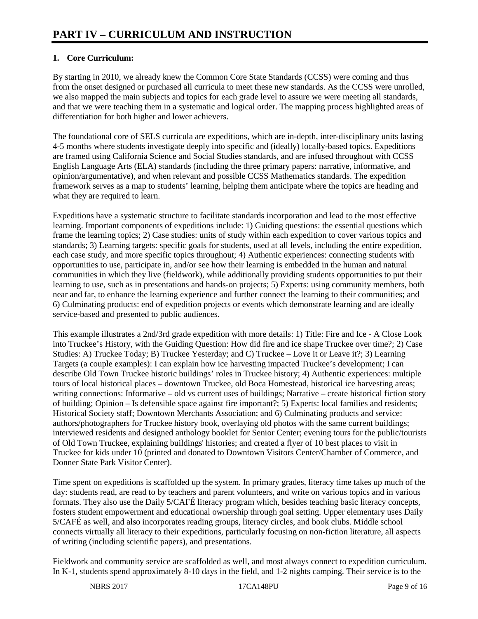## **1. Core Curriculum:**

By starting in 2010, we already knew the Common Core State Standards (CCSS) were coming and thus from the onset designed or purchased all curricula to meet these new standards. As the CCSS were unrolled, we also mapped the main subjects and topics for each grade level to assure we were meeting all standards, and that we were teaching them in a systematic and logical order. The mapping process highlighted areas of differentiation for both higher and lower achievers.

The foundational core of SELS curricula are expeditions, which are in-depth, inter-disciplinary units lasting 4-5 months where students investigate deeply into specific and (ideally) locally-based topics. Expeditions are framed using California Science and Social Studies standards, and are infused throughout with CCSS English Language Arts (ELA) standards (including the three primary papers: narrative, informative, and opinion/argumentative), and when relevant and possible CCSS Mathematics standards. The expedition framework serves as a map to students' learning, helping them anticipate where the topics are heading and what they are required to learn.

Expeditions have a systematic structure to facilitate standards incorporation and lead to the most effective learning. Important components of expeditions include: 1) Guiding questions: the essential questions which frame the learning topics; 2) Case studies: units of study within each expedition to cover various topics and standards; 3) Learning targets: specific goals for students, used at all levels, including the entire expedition, each case study, and more specific topics throughout; 4) Authentic experiences: connecting students with opportunities to use, participate in, and/or see how their learning is embedded in the human and natural communities in which they live (fieldwork), while additionally providing students opportunities to put their learning to use, such as in presentations and hands-on projects; 5) Experts: using community members, both near and far, to enhance the learning experience and further connect the learning to their communities; and 6) Culminating products: end of expedition projects or events which demonstrate learning and are ideally service-based and presented to public audiences.

This example illustrates a 2nd/3rd grade expedition with more details: 1) Title: Fire and Ice - A Close Look into Truckee's History, with the Guiding Question: How did fire and ice shape Truckee over time?; 2) Case Studies: A) Truckee Today; B) Truckee Yesterday; and C) Truckee – Love it or Leave it?; 3) Learning Targets (a couple examples): I can explain how ice harvesting impacted Truckee's development; I can describe Old Town Truckee historic buildings' roles in Truckee history; 4) Authentic experiences: multiple tours of local historical places – downtown Truckee, old Boca Homestead, historical ice harvesting areas; writing connections: Informative – old vs current uses of buildings; Narrative – create historical fiction story of building; Opinion – Is defensible space against fire important?; 5) Experts: local families and residents; Historical Society staff; Downtown Merchants Association; and 6) Culminating products and service: authors/photographers for Truckee history book, overlaying old photos with the same current buildings; interviewed residents and designed anthology booklet for Senior Center; evening tours for the public/tourists of Old Town Truckee, explaining buildings' histories; and created a flyer of 10 best places to visit in Truckee for kids under 10 (printed and donated to Downtown Visitors Center/Chamber of Commerce, and Donner State Park Visitor Center).

Time spent on expeditions is scaffolded up the system. In primary grades, literacy time takes up much of the day: students read, are read to by teachers and parent volunteers, and write on various topics and in various formats. They also use the Daily 5/CAFÉ literacy program which, besides teaching basic literacy concepts, fosters student empowerment and educational ownership through goal setting. Upper elementary uses Daily 5/CAFÉ as well, and also incorporates reading groups, literacy circles, and book clubs. Middle school connects virtually all literacy to their expeditions, particularly focusing on non-fiction literature, all aspects of writing (including scientific papers), and presentations.

Fieldwork and community service are scaffolded as well, and most always connect to expedition curriculum. In K-1, students spend approximately 8-10 days in the field, and 1-2 nights camping. Their service is to the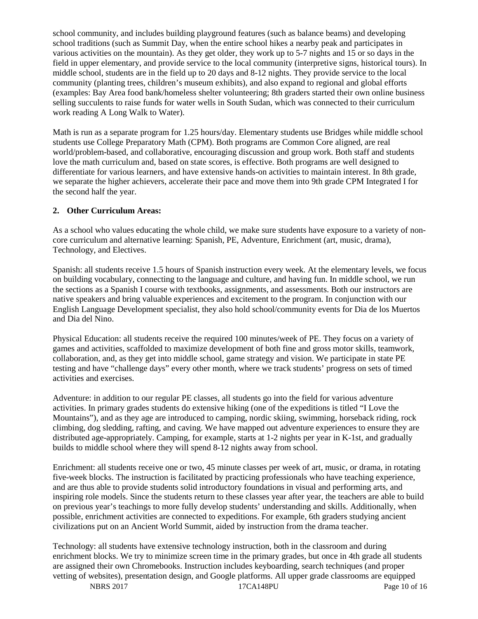school community, and includes building playground features (such as balance beams) and developing school traditions (such as Summit Day, when the entire school hikes a nearby peak and participates in various activities on the mountain). As they get older, they work up to 5-7 nights and 15 or so days in the field in upper elementary, and provide service to the local community (interpretive signs, historical tours). In middle school, students are in the field up to 20 days and 8-12 nights. They provide service to the local community (planting trees, children's museum exhibits), and also expand to regional and global efforts (examples: Bay Area food bank/homeless shelter volunteering; 8th graders started their own online business selling succulents to raise funds for water wells in South Sudan, which was connected to their curriculum work reading A Long Walk to Water).

Math is run as a separate program for 1.25 hours/day. Elementary students use Bridges while middle school students use College Preparatory Math (CPM). Both programs are Common Core aligned, are real world/problem-based, and collaborative, encouraging discussion and group work. Both staff and students love the math curriculum and, based on state scores, is effective. Both programs are well designed to differentiate for various learners, and have extensive hands-on activities to maintain interest. In 8th grade, we separate the higher achievers, accelerate their pace and move them into 9th grade CPM Integrated I for the second half the year.

#### **2. Other Curriculum Areas:**

As a school who values educating the whole child, we make sure students have exposure to a variety of noncore curriculum and alternative learning: Spanish, PE, Adventure, Enrichment (art, music, drama), Technology, and Electives.

Spanish: all students receive 1.5 hours of Spanish instruction every week. At the elementary levels, we focus on building vocabulary, connecting to the language and culture, and having fun. In middle school, we run the sections as a Spanish I course with textbooks, assignments, and assessments. Both our instructors are native speakers and bring valuable experiences and excitement to the program. In conjunction with our English Language Development specialist, they also hold school/community events for Dia de los Muertos and Dia del Nino.

Physical Education: all students receive the required 100 minutes/week of PE. They focus on a variety of games and activities, scaffolded to maximize development of both fine and gross motor skills, teamwork, collaboration, and, as they get into middle school, game strategy and vision. We participate in state PE testing and have "challenge days" every other month, where we track students' progress on sets of timed activities and exercises.

Adventure: in addition to our regular PE classes, all students go into the field for various adventure activities. In primary grades students do extensive hiking (one of the expeditions is titled "I Love the Mountains"), and as they age are introduced to camping, nordic skiing, swimming, horseback riding, rock climbing, dog sledding, rafting, and caving. We have mapped out adventure experiences to ensure they are distributed age-appropriately. Camping, for example, starts at 1-2 nights per year in K-1st, and gradually builds to middle school where they will spend 8-12 nights away from school.

Enrichment: all students receive one or two, 45 minute classes per week of art, music, or drama, in rotating five-week blocks. The instruction is facilitated by practicing professionals who have teaching experience, and are thus able to provide students solid introductory foundations in visual and performing arts, and inspiring role models. Since the students return to these classes year after year, the teachers are able to build on previous year's teachings to more fully develop students' understanding and skills. Additionally, when possible, enrichment activities are connected to expeditions. For example, 6th graders studying ancient civilizations put on an Ancient World Summit, aided by instruction from the drama teacher.

Technology: all students have extensive technology instruction, both in the classroom and during enrichment blocks. We try to minimize screen time in the primary grades, but once in 4th grade all students are assigned their own Chromebooks. Instruction includes keyboarding, search techniques (and proper vetting of websites), presentation design, and Google platforms. All upper grade classrooms are equipped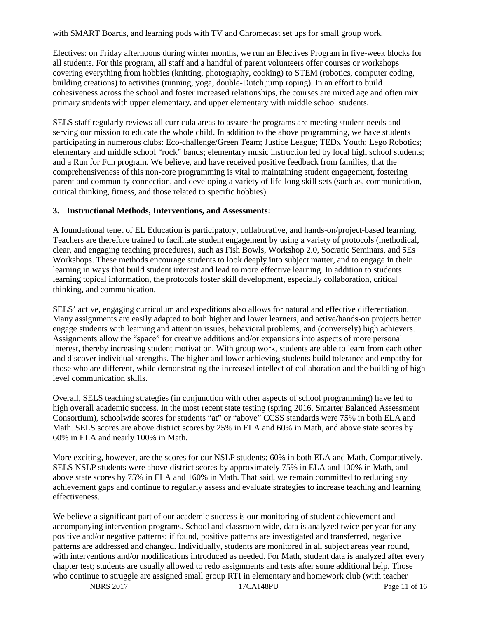with SMART Boards, and learning pods with TV and Chromecast set ups for small group work.

Electives: on Friday afternoons during winter months, we run an Electives Program in five-week blocks for all students. For this program, all staff and a handful of parent volunteers offer courses or workshops covering everything from hobbies (knitting, photography, cooking) to STEM (robotics, computer coding, building creations) to activities (running, yoga, double-Dutch jump roping). In an effort to build cohesiveness across the school and foster increased relationships, the courses are mixed age and often mix primary students with upper elementary, and upper elementary with middle school students.

SELS staff regularly reviews all curricula areas to assure the programs are meeting student needs and serving our mission to educate the whole child. In addition to the above programming, we have students participating in numerous clubs: Eco-challenge/Green Team; Justice League; TEDx Youth; Lego Robotics; elementary and middle school "rock" bands; elementary music instruction led by local high school students; and a Run for Fun program. We believe, and have received positive feedback from families, that the comprehensiveness of this non-core programming is vital to maintaining student engagement, fostering parent and community connection, and developing a variety of life-long skill sets (such as, communication, critical thinking, fitness, and those related to specific hobbies).

#### **3. Instructional Methods, Interventions, and Assessments:**

A foundational tenet of EL Education is participatory, collaborative, and hands-on/project-based learning. Teachers are therefore trained to facilitate student engagement by using a variety of protocols (methodical, clear, and engaging teaching procedures), such as Fish Bowls, Workshop 2.0, Socratic Seminars, and 5Es Workshops. These methods encourage students to look deeply into subject matter, and to engage in their learning in ways that build student interest and lead to more effective learning. In addition to students learning topical information, the protocols foster skill development, especially collaboration, critical thinking, and communication.

SELS' active, engaging curriculum and expeditions also allows for natural and effective differentiation. Many assignments are easily adapted to both higher and lower learners, and active/hands-on projects better engage students with learning and attention issues, behavioral problems, and (conversely) high achievers. Assignments allow the "space" for creative additions and/or expansions into aspects of more personal interest, thereby increasing student motivation. With group work, students are able to learn from each other and discover individual strengths. The higher and lower achieving students build tolerance and empathy for those who are different, while demonstrating the increased intellect of collaboration and the building of high level communication skills.

Overall, SELS teaching strategies (in conjunction with other aspects of school programming) have led to high overall academic success. In the most recent state testing (spring 2016, Smarter Balanced Assessment Consortium), schoolwide scores for students "at" or "above" CCSS standards were 75% in both ELA and Math. SELS scores are above district scores by 25% in ELA and 60% in Math, and above state scores by 60% in ELA and nearly 100% in Math.

More exciting, however, are the scores for our NSLP students: 60% in both ELA and Math. Comparatively, SELS NSLP students were above district scores by approximately 75% in ELA and 100% in Math, and above state scores by 75% in ELA and 160% in Math. That said, we remain committed to reducing any achievement gaps and continue to regularly assess and evaluate strategies to increase teaching and learning effectiveness.

We believe a significant part of our academic success is our monitoring of student achievement and accompanying intervention programs. School and classroom wide, data is analyzed twice per year for any positive and/or negative patterns; if found, positive patterns are investigated and transferred, negative patterns are addressed and changed. Individually, students are monitored in all subject areas year round, with interventions and/or modifications introduced as needed. For Math, student data is analyzed after every chapter test; students are usually allowed to redo assignments and tests after some additional help. Those who continue to struggle are assigned small group RTI in elementary and homework club (with teacher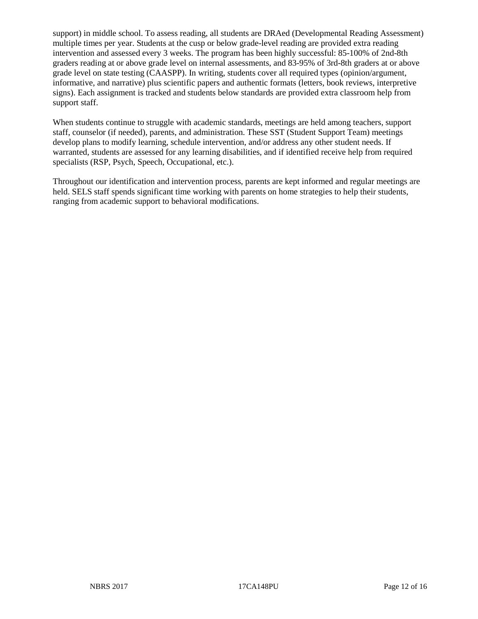support) in middle school. To assess reading, all students are DRAed (Developmental Reading Assessment) multiple times per year. Students at the cusp or below grade-level reading are provided extra reading intervention and assessed every 3 weeks. The program has been highly successful: 85-100% of 2nd-8th graders reading at or above grade level on internal assessments, and 83-95% of 3rd-8th graders at or above grade level on state testing (CAASPP). In writing, students cover all required types (opinion/argument, informative, and narrative) plus scientific papers and authentic formats (letters, book reviews, interpretive signs). Each assignment is tracked and students below standards are provided extra classroom help from support staff.

When students continue to struggle with academic standards, meetings are held among teachers, support staff, counselor (if needed), parents, and administration. These SST (Student Support Team) meetings develop plans to modify learning, schedule intervention, and/or address any other student needs. If warranted, students are assessed for any learning disabilities, and if identified receive help from required specialists (RSP, Psych, Speech, Occupational, etc.).

Throughout our identification and intervention process, parents are kept informed and regular meetings are held. SELS staff spends significant time working with parents on home strategies to help their students, ranging from academic support to behavioral modifications.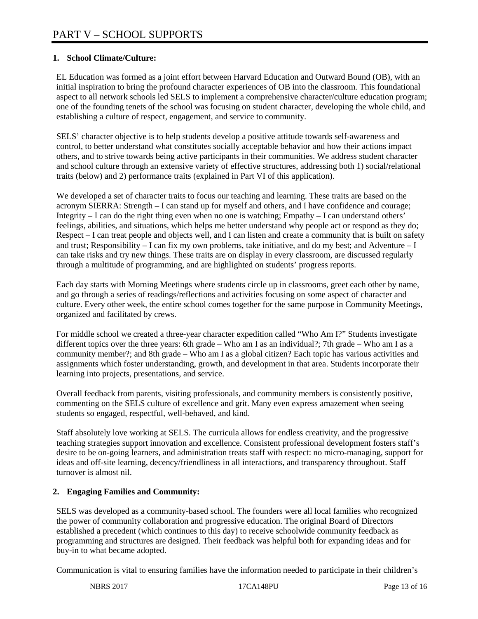# **1. School Climate/Culture:**

EL Education was formed as a joint effort between Harvard Education and Outward Bound (OB), with an initial inspiration to bring the profound character experiences of OB into the classroom. This foundational aspect to all network schools led SELS to implement a comprehensive character/culture education program; one of the founding tenets of the school was focusing on student character, developing the whole child, and establishing a culture of respect, engagement, and service to community.

SELS' character objective is to help students develop a positive attitude towards self-awareness and control, to better understand what constitutes socially acceptable behavior and how their actions impact others, and to strive towards being active participants in their communities. We address student character and school culture through an extensive variety of effective structures, addressing both 1) social/relational traits (below) and 2) performance traits (explained in Part VI of this application).

We developed a set of character traits to focus our teaching and learning. These traits are based on the acronym SIERRA: Strength – I can stand up for myself and others, and I have confidence and courage; Integrity – I can do the right thing even when no one is watching; Empathy – I can understand others' feelings, abilities, and situations, which helps me better understand why people act or respond as they do; Respect – I can treat people and objects well, and I can listen and create a community that is built on safety and trust; Responsibility – I can fix my own problems, take initiative, and do my best; and Adventure – I can take risks and try new things. These traits are on display in every classroom, are discussed regularly through a multitude of programming, and are highlighted on students' progress reports.

Each day starts with Morning Meetings where students circle up in classrooms, greet each other by name, and go through a series of readings/reflections and activities focusing on some aspect of character and culture. Every other week, the entire school comes together for the same purpose in Community Meetings, organized and facilitated by crews.

For middle school we created a three-year character expedition called "Who Am I?" Students investigate different topics over the three years: 6th grade – Who am I as an individual?; 7th grade – Who am I as a community member?; and 8th grade – Who am I as a global citizen? Each topic has various activities and assignments which foster understanding, growth, and development in that area. Students incorporate their learning into projects, presentations, and service.

Overall feedback from parents, visiting professionals, and community members is consistently positive, commenting on the SELS culture of excellence and grit. Many even express amazement when seeing students so engaged, respectful, well-behaved, and kind.

Staff absolutely love working at SELS. The curricula allows for endless creativity, and the progressive teaching strategies support innovation and excellence. Consistent professional development fosters staff's desire to be on-going learners, and administration treats staff with respect: no micro-managing, support for ideas and off-site learning, decency/friendliness in all interactions, and transparency throughout. Staff turnover is almost nil.

## **2. Engaging Families and Community:**

SELS was developed as a community-based school. The founders were all local families who recognized the power of community collaboration and progressive education. The original Board of Directors established a precedent (which continues to this day) to receive schoolwide community feedback as programming and structures are designed. Their feedback was helpful both for expanding ideas and for buy-in to what became adopted.

Communication is vital to ensuring families have the information needed to participate in their children's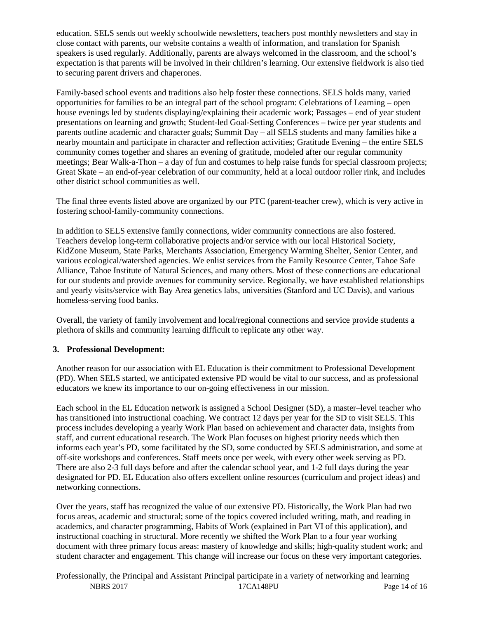education. SELS sends out weekly schoolwide newsletters, teachers post monthly newsletters and stay in close contact with parents, our website contains a wealth of information, and translation for Spanish speakers is used regularly. Additionally, parents are always welcomed in the classroom, and the school's expectation is that parents will be involved in their children's learning. Our extensive fieldwork is also tied to securing parent drivers and chaperones.

Family-based school events and traditions also help foster these connections. SELS holds many, varied opportunities for families to be an integral part of the school program: Celebrations of Learning – open house evenings led by students displaying/explaining their academic work; Passages – end of year student presentations on learning and growth; Student-led Goal-Setting Conferences – twice per year students and parents outline academic and character goals; Summit Day – all SELS students and many families hike a nearby mountain and participate in character and reflection activities; Gratitude Evening – the entire SELS community comes together and shares an evening of gratitude, modeled after our regular community meetings; Bear Walk-a-Thon – a day of fun and costumes to help raise funds for special classroom projects; Great Skate – an end-of-year celebration of our community, held at a local outdoor roller rink, and includes other district school communities as well.

The final three events listed above are organized by our PTC (parent-teacher crew), which is very active in fostering school-family-community connections.

In addition to SELS extensive family connections, wider community connections are also fostered. Teachers develop long-term collaborative projects and/or service with our local Historical Society, KidZone Museum, State Parks, Merchants Association, Emergency Warming Shelter, Senior Center, and various ecological/watershed agencies. We enlist services from the Family Resource Center, Tahoe Safe Alliance, Tahoe Institute of Natural Sciences, and many others. Most of these connections are educational for our students and provide avenues for community service. Regionally, we have established relationships and yearly visits/service with Bay Area genetics labs, universities (Stanford and UC Davis), and various homeless-serving food banks.

Overall, the variety of family involvement and local/regional connections and service provide students a plethora of skills and community learning difficult to replicate any other way.

#### **3. Professional Development:**

Another reason for our association with EL Education is their commitment to Professional Development (PD). When SELS started, we anticipated extensive PD would be vital to our success, and as professional educators we knew its importance to our on-going effectiveness in our mission.

Each school in the EL Education network is assigned a School Designer (SD), a master–level teacher who has transitioned into instructional coaching. We contract 12 days per year for the SD to visit SELS. This process includes developing a yearly Work Plan based on achievement and character data, insights from staff, and current educational research. The Work Plan focuses on highest priority needs which then informs each year's PD, some facilitated by the SD, some conducted by SELS administration, and some at off-site workshops and conferences. Staff meets once per week, with every other week serving as PD. There are also 2-3 full days before and after the calendar school year, and 1-2 full days during the year designated for PD. EL Education also offers excellent online resources (curriculum and project ideas) and networking connections.

Over the years, staff has recognized the value of our extensive PD. Historically, the Work Plan had two focus areas, academic and structural; some of the topics covered included writing, math, and reading in academics, and character programming, Habits of Work (explained in Part VI of this application), and instructional coaching in structural. More recently we shifted the Work Plan to a four year working document with three primary focus areas: mastery of knowledge and skills; high-quality student work; and student character and engagement. This change will increase our focus on these very important categories.

NBRS 2017 17CA148PU Page 14 of 16 Professionally, the Principal and Assistant Principal participate in a variety of networking and learning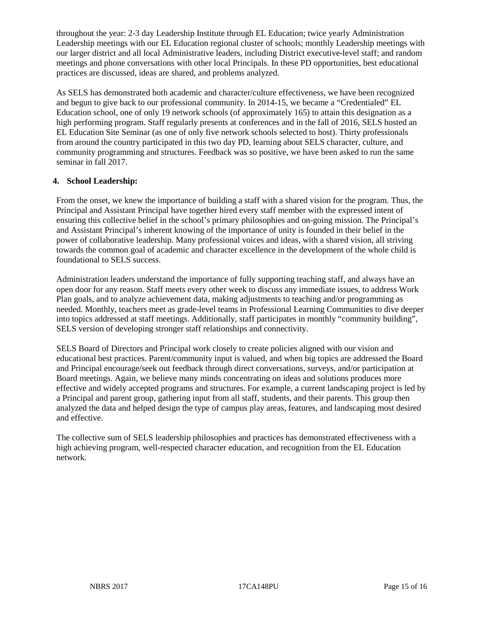throughout the year: 2-3 day Leadership Institute through EL Education; twice yearly Administration Leadership meetings with our EL Education regional cluster of schools; monthly Leadership meetings with our larger district and all local Administrative leaders, including District executive-level staff; and random meetings and phone conversations with other local Principals. In these PD opportunities, best educational practices are discussed, ideas are shared, and problems analyzed.

As SELS has demonstrated both academic and character/culture effectiveness, we have been recognized and begun to give back to our professional community. In 2014-15, we became a "Credentialed" EL Education school, one of only 19 network schools (of approximately 165) to attain this designation as a high performing program. Staff regularly presents at conferences and in the fall of 2016, SELS hosted an EL Education Site Seminar (as one of only five network schools selected to host). Thirty professionals from around the country participated in this two day PD, learning about SELS character, culture, and community programming and structures. Feedback was so positive, we have been asked to run the same seminar in fall 2017.

## **4. School Leadership:**

From the onset, we knew the importance of building a staff with a shared vision for the program. Thus, the Principal and Assistant Principal have together hired every staff member with the expressed intent of ensuring this collective belief in the school's primary philosophies and on-going mission. The Principal's and Assistant Principal's inherent knowing of the importance of unity is founded in their belief in the power of collaborative leadership. Many professional voices and ideas, with a shared vision, all striving towards the common goal of academic and character excellence in the development of the whole child is foundational to SELS success.

Administration leaders understand the importance of fully supporting teaching staff, and always have an open door for any reason. Staff meets every other week to discuss any immediate issues, to address Work Plan goals, and to analyze achievement data, making adjustments to teaching and/or programming as needed. Monthly, teachers meet as grade-level teams in Professional Learning Communities to dive deeper into topics addressed at staff meetings. Additionally, staff participates in monthly "community building", SELS version of developing stronger staff relationships and connectivity.

SELS Board of Directors and Principal work closely to create policies aligned with our vision and educational best practices. Parent/community input is valued, and when big topics are addressed the Board and Principal encourage/seek out feedback through direct conversations, surveys, and/or participation at Board meetings. Again, we believe many minds concentrating on ideas and solutions produces more effective and widely accepted programs and structures. For example, a current landscaping project is led by a Principal and parent group, gathering input from all staff, students, and their parents. This group then analyzed the data and helped design the type of campus play areas, features, and landscaping most desired and effective.

The collective sum of SELS leadership philosophies and practices has demonstrated effectiveness with a high achieving program, well-respected character education, and recognition from the EL Education network.